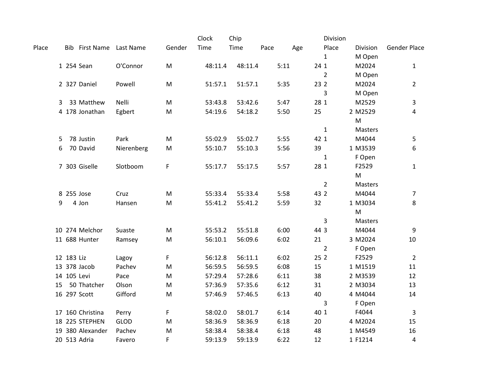|       |              |                       |             |           | Clock   | Chip    |      |      |      | Division       |           |                     |
|-------|--------------|-----------------------|-------------|-----------|---------|---------|------|------|------|----------------|-----------|---------------------|
| Place |              | <b>Bib First Name</b> | Last Name   | Gender    | Time    | Time    | Pace | Age  |      | Place          | Division  | <b>Gender Place</b> |
|       |              |                       |             |           |         |         |      |      |      | 1              | M Open    |                     |
|       |              | 1 254 Sean            | O'Connor    | M         | 48:11.4 | 48:11.4 |      | 5:11 | 24 1 |                | M2024     | 1                   |
|       |              |                       |             |           |         |         |      |      |      | $\overline{2}$ | M Open    |                     |
|       |              | 2 327 Daniel          | Powell      | M         | 51:57.1 | 51:57.1 |      | 5:35 | 23 2 |                | M2024     | $\overline{2}$      |
|       |              |                       |             |           |         |         |      |      |      | 3              | M Open    |                     |
|       | 3            | 33 Matthew            | Nelli       | M         | 53:43.8 | 53:42.6 |      | 5:47 | 28 1 |                | M2529     | 3                   |
|       |              | 4 178 Jonathan        | Egbert      | M         | 54:19.6 | 54:18.2 |      | 5:50 | 25   |                | 2 M2529   | 4                   |
|       |              |                       |             |           |         |         |      |      |      |                | M         |                     |
|       |              |                       |             |           |         |         |      |      |      | $\mathbf{1}$   | Masters   |                     |
|       | 5.           | 78 Justin             | Park        | M         | 55:02.9 | 55:02.7 |      | 5:55 | 42 1 |                | M4044     | 5                   |
|       | 6            | 70 David              | Nierenberg  | M         | 55:10.7 | 55:10.3 |      | 5:56 | 39   |                | 1 M3539   | 6                   |
|       |              |                       |             |           |         |         |      |      |      | $\mathbf{1}$   | F Open    |                     |
|       |              | 7 303 Giselle         | Slotboom    | F         | 55:17.7 | 55:17.5 |      | 5:57 | 28 1 |                | F2529     | $\mathbf{1}$        |
|       |              |                       |             |           |         |         |      |      |      |                | ${\sf M}$ |                     |
|       |              |                       |             |           |         |         |      |      |      | $\overline{2}$ | Masters   |                     |
|       | 8 255 Jose   |                       | Cruz        | M         | 55:33.4 | 55:33.4 |      | 5:58 | 43 2 |                | M4044     | 7                   |
|       | 9            | 4 Jon                 | Hansen      | M         | 55:41.2 | 55:41.2 |      | 5:59 | 32   |                | 1 M3034   | 8                   |
|       |              |                       |             |           |         |         |      |      |      |                | M         |                     |
|       |              |                       |             |           |         |         |      |      |      | 3              | Masters   |                     |
|       |              | 10 274 Melchor        | Suaste      | M         | 55:53.2 | 55:51.8 |      | 6:00 | 44 3 |                | M4044     | 9                   |
|       |              | 11 688 Hunter         | Ramsey      | ${\sf M}$ | 56:10.1 | 56:09.6 |      | 6:02 | 21   |                | 3 M2024   | $10\,$              |
|       |              |                       |             |           |         |         |      |      |      | $\overline{2}$ | F Open    |                     |
|       | 12 183 Liz   |                       | Lagoy       | F         | 56:12.8 | 56:11.1 |      | 6:02 | 25 2 |                | F2529     | $\overline{2}$      |
|       | 13 378 Jacob |                       | Pachev      | M         | 56:59.5 | 56:59.5 |      | 6:08 | 15   |                | 1 M1519   | 11                  |
|       | 14 105 Levi  |                       | Pace        | M         | 57:29.4 | 57:28.6 |      | 6:11 | 38   |                | 2 M3539   | 12                  |
|       | 15           | 50 Thatcher           | Olson       | M         | 57:36.9 | 57:35.6 |      | 6:12 | 31   |                | 2 M3034   | 13                  |
|       | 16 297 Scott |                       | Gifford     | ${\sf M}$ | 57:46.9 | 57:46.5 |      | 6:13 | 40   |                | 4 M4044   | 14                  |
|       |              |                       |             |           |         |         |      |      |      | 3              | F Open    |                     |
|       |              | 17 160 Christina      | Perry       | F         | 58:02.0 | 58:01.7 |      | 6:14 | 40 1 |                | F4044     | 3                   |
|       |              | 18 225 STEPHEN        | <b>GLOD</b> | M         | 58:36.9 | 58:36.9 |      | 6:18 | 20   |                | 4 M2024   | 15                  |
|       |              | 19 380 Alexander      | Pachev      | M         | 58:38.4 | 58:38.4 |      | 6:18 | 48   |                | 1 M4549   | 16                  |
|       | 20 513 Adria |                       | Favero      | F         | 59:13.9 | 59:13.9 |      | 6:22 | 12   |                | 1 F1214   | 4                   |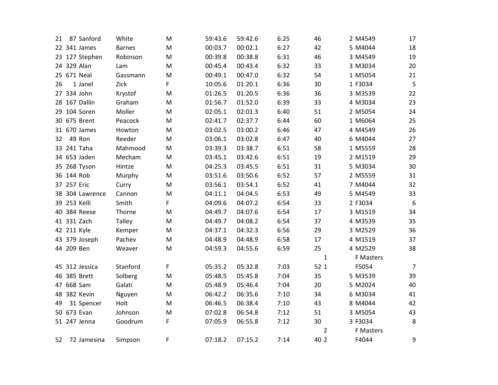| 21 |             | 87 Sanford      | White         | M         | 59:43.6 | 59:42.6 | 6:25 | 46             | 2 M4549   | 17             |
|----|-------------|-----------------|---------------|-----------|---------|---------|------|----------------|-----------|----------------|
|    |             | 22 341 James    | <b>Barnes</b> | M         | 00:03.7 | 00:02.1 | 6:27 | 42             | 5 M4044   | 18             |
|    |             | 23 127 Stephen  | Robinson      | M         | 00:39.8 | 00:38.8 | 6:31 | 46             | 3 M4549   | 19             |
|    |             | 24 329 Alan     | Lam           | M         | 00:45.4 | 00:43.4 | 6:32 | 33             | 3 M3034   | 20             |
|    |             | 25 671 Neal     | Gassmann      | M         | 00:49.1 | 00:47.0 | 6:32 | 54             | 1 M5054   | 21             |
| 26 |             | 1 Janel         | Zick          | F         | 10:05.6 | 01:20.1 | 6:36 | 30             | 1 F3034   | 5              |
|    |             | 27 334 John     | Krystof       | M         | 01:26.5 | 01:20.5 | 6:36 | 36             | 3 M3539   | 22             |
|    |             | 28 167 Dallin   | Graham        | ${\sf M}$ | 01:56.7 | 01:52.0 | 6:39 | 33             | 4 M3034   | 23             |
|    |             | 29 104 Soren    | Moller        | M         | 02:05.1 | 02:01.3 | 6:40 | 51             | 2 M5054   | 24             |
|    |             | 30 675 Brent    | Peacock       | M         | 02:41.7 | 02:37.7 | 6:44 | 60             | 1 M6064   | 25             |
|    |             | 31 670 James    | Howton        | M         | 03:02.5 | 03:00.2 | 6:46 | 47             | 4 M4549   | 26             |
| 32 |             | 49 Ron          | Reeder        | M         | 03:06.1 | 03:02.8 | 6:47 | 40             | 6 M4044   | 27             |
|    |             | 33 241 Taha     | Mahmood       | M         | 03:39.3 | 03:38.7 | 6:51 | 58             | 1 M5559   | 28             |
|    |             | 34 653 Jaden    | Mecham        | M         | 03:45.1 | 03:42.6 | 6:51 | 19             | 2 M1519   | 29             |
|    |             | 35 268 Tyson    | Hintze        | ${\sf M}$ | 04:25.3 | 03:45.5 | 6:51 | 31             | 5 M3034   | 30             |
|    | 36 144 Rob  |                 | Murphy        | M         | 03:51.6 | 03:50.6 | 6:52 | 57             | 2 M5559   | 31             |
|    | 37 257 Eric |                 | Curry         | M         | 03:56.1 | 03:54.1 | 6:52 | 41             | 7 M4044   | 32             |
|    |             | 38 304 Lawrence | Cannon        | M         | 04:11.1 | 04:04.5 | 6:53 | 49             | 5 M4549   | 33             |
|    |             | 39 253 Kelli    | Smith         | F         | 04:09.6 | 04:07.2 | 6:54 | 33             | 2 F3034   | $6\,$          |
|    |             | 40 384 Reese    | Thorne        | M         | 04:49.7 | 04:07.6 | 6:54 | 17             | 3 M1519   | 34             |
|    |             | 41 331 Zach     | Talley        | M         | 04:49.7 | 04:08.2 | 6:54 | 37             | 4 M3539   | 35             |
|    |             | 42 211 Kyle     | Kemper        | M         | 04:37.1 | 04:32.3 | 6:56 | 29             | 3 M2529   | 36             |
|    |             | 43 379 Joseph   | Pachev        | M         | 04:48.9 | 04:48.9 | 6:58 | 17             | 4 M1519   | 37             |
|    | 44 209 Ben  |                 | Weaver        | M         | 04:59.3 | 04:55.6 | 6:59 | 25             | 4 M2529   | 38             |
|    |             |                 |               |           |         |         |      | $\mathbf 1$    | F Masters |                |
|    |             | 45 312 Jessica  | Stanford      | F         | 05:35.2 | 05:32.8 | 7:03 | 52 1           | F5054     | $\overline{7}$ |
|    |             | 46 385 Brett    | Solberg       | M         | 05:48.5 | 05:45.8 | 7:04 | 35             | 5 M3539   | 39             |
|    |             | 47 668 Sam      | Galati        | M         | 05:48.9 | 05:46.4 | 7:04 | 20             | 5 M2024   | 40             |
|    |             | 48 382 Kevin    | Nguyen        | M         | 06:42.2 | 06:35.6 | 7:10 | 34             | 6 M3034   | 41             |
| 49 |             | 31 Spencer      | Holt          | M         | 06:46.5 | 06:38.4 | 7:10 | 43             | 8 M4044   | 42             |
|    |             | 50 673 Evan     | Johnson       | ${\sf M}$ | 07:02.8 | 06:54.8 | 7:12 | 51             | 3 M5054   | 43             |
|    |             | 51 247 Jenna    | Goodrum       | F         | 07:05.9 | 06:55.8 | 7:12 | 30             | 3 F3034   | $\,8\,$        |
|    |             |                 |               |           |         |         |      | $\overline{2}$ | F Masters |                |
| 52 |             | 72 Jamesina     | Simpson       | F         | 07:18.2 | 07:15.2 | 7:14 | 40 2           | F4044     | 9              |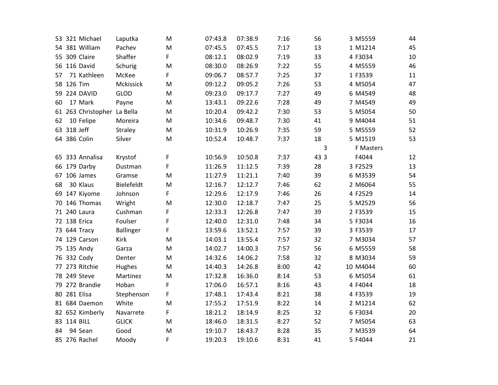|    |             | 53 321 Michael              | Laputka          | M | 07:43.8 | 07:38.9 | 7:16 | 56   | 3 M5559   | 44 |
|----|-------------|-----------------------------|------------------|---|---------|---------|------|------|-----------|----|
|    |             | 54 381 William              | Pachev           | M | 07:45.5 | 07:45.5 | 7:17 | 13   | 1 M1214   | 45 |
|    |             | 55 309 Claire               | Shaffer          | F | 08:12.1 | 08:02.9 | 7:19 | 33   | 4 F3034   | 10 |
|    |             | 56 116 David                | Schurig          | M | 08:30.0 | 08:26.9 | 7:22 | 55   | 4 M5559   | 46 |
| 57 |             | 71 Kathleen                 | McKee            | F | 09:06.7 | 08:57.7 | 7:25 | 37   | 1 F3539   | 11 |
|    | 58 126 Tim  |                             | Mckissick        | M | 09:12.2 | 09:05.2 | 7:26 | 53   | 4 M5054   | 47 |
|    |             | 59 224 DAVID                | <b>GLOD</b>      | M | 09:23.0 | 09:17.7 | 7:27 | 49   | 6 M4549   | 48 |
| 60 |             | 17 Mark                     | Payne            | M | 13:43.1 | 09:22.6 | 7:28 | 49   | 7 M4549   | 49 |
|    |             | 61 263 Christopher La Bella |                  | M | 10:20.4 | 09:42.2 | 7:30 | 53   | 5 M5054   | 50 |
| 62 |             | 10 Felipe                   | Moreira          | M | 10:34.6 | 09:48.7 | 7:30 | 41   | 9 M4044   | 51 |
|    | 63 318 Jeff |                             | Straley          | M | 10:31.9 | 10:26.9 | 7:35 | 59   | 5 M5559   | 52 |
|    |             | 64 386 Colin                | Silver           | M | 10:52.4 | 10:48.7 | 7:37 | 18   | 5 M1519   | 53 |
|    |             |                             |                  |   |         |         |      | 3    | F Masters |    |
|    |             | 65 333 Annalisa             | Krystof          | F | 10:56.9 | 10:50.8 | 7:37 | 43 3 | F4044     | 12 |
|    |             | 66 179 Darby                | Dustman          | F | 11:26.9 | 11:12.5 | 7:39 | 28   | 3 F2529   | 13 |
|    |             | 67 106 James                | Gramse           | M | 11:27.9 | 11:21.1 | 7:40 | 39   | 6 M3539   | 54 |
| 68 |             | 30 Klaus                    | Bielefeldt       | M | 12:16.7 | 12:12.7 | 7:46 | 62   | 2 M6064   | 55 |
|    |             | 69 147 Kiyome               | Johnson          | F | 12:29.6 | 12:17.9 | 7:46 | 26   | 4 F2529   | 14 |
| 70 |             | 146 Thomas                  | Wright           | M | 12:30.0 | 12:18.7 | 7:47 | 25   | 5 M2529   | 56 |
|    |             | 71 240 Laura                | Cushman          | F | 12:33.3 | 12:26.8 | 7:47 | 39   | 2 F3539   | 15 |
|    |             | 72 138 Erica                | Foulser          | F | 12:40.0 | 12:31.0 | 7:48 | 34   | 5 F3034   | 16 |
|    |             | 73 644 Tracy                | <b>Ballinger</b> | F | 13:59.6 | 13:52.1 | 7:57 | 39   | 3 F3539   | 17 |
|    |             | 74 129 Carson               | Kirk             | M | 14:03.1 | 13:55.4 | 7:57 | 32   | 7 M3034   | 57 |
|    |             | 75 135 Andy                 | Garza            | M | 14:02.7 | 14:00.3 | 7:57 | 56   | 6 M5559   | 58 |
|    |             | 76 332 Cody                 | Denter           | M | 14:32.6 | 14:06.2 | 7:58 | 32   | 8 M3034   | 59 |
|    |             | 77 273 Ritchie              | Hughes           | M | 14:40.3 | 14:26.8 | 8:00 | 42   | 10 M4044  | 60 |
|    |             | 78 249 Steve                | Martinez         | M | 17:32.8 | 16:36.0 | 8:14 | 53   | 6 M5054   | 61 |
|    |             | 79 272 Brandie              | Hoban            | F | 17:06.0 | 16:57.1 | 8:16 | 43   | 4 F4044   | 18 |
|    |             | 80 281 Elisa                | Stephenson       | F | 17:48.1 | 17:43.4 | 8:21 | 38   | 4 F3539   | 19 |
|    |             | 81 684 Daemon               | White            | M | 17:55.2 | 17:51.9 | 8:22 | 14   | 2 M1214   | 62 |
|    |             | 82 652 Kimberly             | Navarrete        | F | 18:21.2 | 18:14.9 | 8:25 | 32   | 6 F3034   | 20 |
|    |             | 83 114 BILL                 | <b>GLICK</b>     | M | 18:46.0 | 18:31.5 | 8:27 | 52   | 7 M5054   | 63 |
| 84 |             | 94 Sean                     | Good             | M | 19:10.7 | 18:43.7 | 8:28 | 35   | 7 M3539   | 64 |
|    |             | 85 276 Rachel               | Moody            | F | 19:20.3 | 19:10.6 | 8:31 | 41   | 5 F4044   | 21 |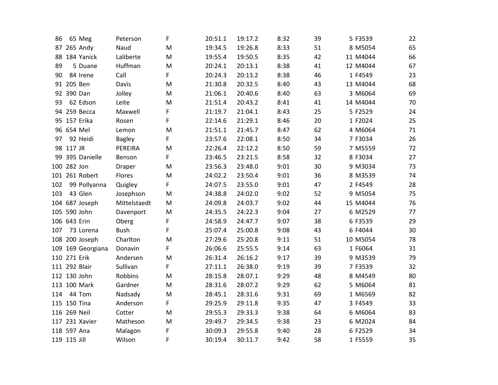| 86  |              | 65 Meg            | Peterson      | F | 20:51.1 | 19:17.2 | 8:32 | 39 | 5 F3539  | 22 |
|-----|--------------|-------------------|---------------|---|---------|---------|------|----|----------|----|
|     |              | 87 265 Andy       | Naud          | M | 19:34.5 | 19:26.8 | 8:33 | 51 | 8 M5054  | 65 |
|     |              | 88 184 Yanick     | Laliberte     | M | 19:55.4 | 19:50.5 | 8:35 | 42 | 11 M4044 | 66 |
| 89  |              | 5 Duane           | Huffman       | M | 20:24.1 | 20:13.1 | 8:38 | 41 | 12 M4044 | 67 |
| 90  |              | 84 Irene          | Call          | F | 20:24.3 | 20:13.2 | 8:38 | 46 | 1 F4549  | 23 |
|     | 91 205 Ben   |                   | Davis         | M | 21:30.8 | 20:32.5 | 8:40 | 43 | 13 M4044 | 68 |
|     | 92 390 Dan   |                   | Jolley        | M | 21:06.1 | 20:40.6 | 8:40 | 63 | 3 M6064  | 69 |
| 93  |              | 62 Edson          | Leite         | M | 21:51.4 | 20:43.2 | 8:41 | 41 | 14 M4044 | 70 |
|     |              | 94 259 Becca      | Maxwell       | F | 21:19.7 | 21:04.1 | 8:43 | 25 | 5 F2529  | 24 |
|     |              | 95 157 Erika      | Rosen         | F | 22:14.6 | 21:29.1 | 8:46 | 20 | 1 F2024  | 25 |
|     | 96 654 Mel   |                   | Lemon         | M | 21:51.1 | 21:45.7 | 8:47 | 62 | 4 M6064  | 71 |
| 97  |              | 92 Heidi          | <b>Bagley</b> | F | 23:57.6 | 22:08.1 | 8:50 | 34 | 7 F3034  | 26 |
|     | 98 117 JR    |                   | PEREIRA       | M | 22:26.4 | 22:12.2 | 8:50 | 59 | 7 M5559  | 72 |
|     |              | 99 395 Danielle   | Benson        | F | 23:46.5 | 23:21.5 | 8:58 | 32 | 8 F3034  | 27 |
|     | 100 282 Jon  |                   | Draper        | M | 23:56.3 | 23:48.0 | 9:01 | 30 | 9 M3034  | 73 |
|     |              | 101 261 Robert    | Flores        | M | 24:02.2 | 23:50.4 | 9:01 | 36 | 8 M3539  | 74 |
| 102 |              | 99 Pollyanna      | Quigley       | F | 24:07.5 | 23:55.0 | 9:01 | 47 | 2 F4549  | 28 |
| 103 |              | 43 Glen           | Josephson     | M | 24:38.8 | 24:02.0 | 9:02 | 52 | 9 M5054  | 75 |
|     |              | 104 687 Joseph    | Mittelstaedt  | M | 24:09.8 | 24:03.7 | 9:02 | 44 | 15 M4044 | 76 |
|     |              | 105 590 John      | Davenport     | M | 24:35.5 | 24:22.3 | 9:04 | 27 | 6 M2529  | 77 |
|     | 106 643 Erin |                   | Oberg         | F | 24:58.9 | 24:47.7 | 9:07 | 38 | 6F3539   | 29 |
| 107 |              | 73 Lorena         | <b>Bush</b>   | F | 25:07.4 | 25:00.8 | 9:08 | 43 | 6 F4044  | 30 |
|     |              | 108 200 Joseph    | Charlton      | M | 27:29.6 | 25:20.8 | 9:11 | 51 | 10 M5054 | 78 |
|     |              | 109 169 Georgiana | Donavin       | F | 26:06.6 | 25:55.5 | 9:14 | 63 | 1 F6064  | 31 |
|     | 110 271 Erik |                   | Andersen      | M | 26:31.4 | 26:16.2 | 9:17 | 39 | 9 M3539  | 79 |
|     |              | 111 292 Blair     | Sullivan      | F | 27:11.1 | 26:38.0 | 9:19 | 39 | 7 F3539  | 32 |
|     |              | 112 130 John      | Robbins       | M | 28:15.8 | 28:07.1 | 9:29 | 48 | 8 M4549  | 80 |
|     |              | 113 100 Mark      | Gardner       | M | 28:31.6 | 28:07.2 | 9:29 | 62 | 5 M6064  | 81 |
| 114 |              | 44 Tom            | Nadsady       | M | 28:45.1 | 28:31.6 | 9:31 | 69 | 1 M6569  | 82 |
|     |              | 115 150 Tina      | Anderson      | F | 29:25.9 | 29:11.8 | 9:35 | 47 | 3 F4549  | 33 |
|     | 116 269 Neil |                   | Cotter        | M | 29:55.3 | 29:33.3 | 9:38 | 64 | 6 M6064  | 83 |
|     |              | 117 231 Xavier    | Matheson      | M | 29:49.7 | 29:34.5 | 9:38 | 23 | 6 M2024  | 84 |
|     | 118 597 Ana  |                   | Malagon       | F | 30:09.3 | 29:55.8 | 9:40 | 28 | 6F2529   | 34 |
|     | 119 115 Jill |                   | Wilson        | F | 30:19.4 | 30:11.7 | 9:42 | 58 | 1 F5559  | 35 |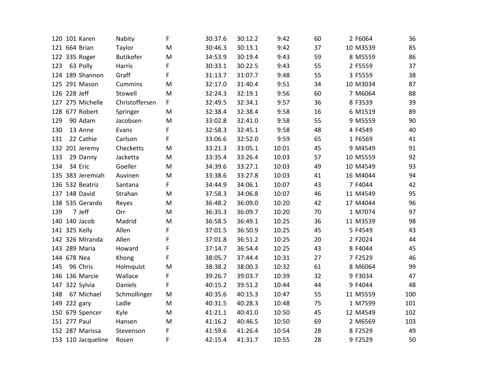|     | 120 101 Karen      | Nabity           | F | 30:37.6 | 30:12.2 | 9:42  | 60 | 2 F6064  | 36  |
|-----|--------------------|------------------|---|---------|---------|-------|----|----------|-----|
|     | 121 664 Brian      | Taylor           | M | 30:46.3 | 30:13.1 | 9:42  | 37 | 10 M3539 | 85  |
|     | 122 335 Roger      | <b>Butikofer</b> | M | 34:53.9 | 30:19.4 | 9:43  | 59 | 8 M5559  | 86  |
| 123 | 63 Polly           | Harris           | F | 30:33.1 | 30:22.5 | 9:43  | 55 | 2 F5559  | 37  |
|     | 124 189 Shannon    | Graff            | F | 31:13.7 | 31:07.7 | 9:48  | 55 | 3 F5559  | 38  |
|     | 125 291 Mason      | Cummins          | M | 32:17.0 | 31:40.4 | 9:51  | 34 | 10 M3034 | 87  |
|     | 126 228 Jeff       | Stowell          | M | 32:24.3 | 32:19.1 | 9:56  | 60 | 7 M6064  | 88  |
|     | 127 275 Michelle   | Christoffersen   | F | 32:49.5 | 32:34.1 | 9:57  | 36 | 8 F3539  | 39  |
|     | 128 677 Robert     | Springer         | M | 32:38.4 | 32:38.4 | 9:58  | 16 | 6 M1519  | 89  |
| 129 | 90 Adam            | Jacobsen         | M | 33:02.8 | 32:41.0 | 9:58  | 55 | 9 M5559  | 90  |
| 130 | 13 Anne            | Evans            | F | 32:58.3 | 32:45.1 | 9:58  | 48 | 4 F4549  | 40  |
| 131 | 22 Cathie          | Carlson          | F | 33:06.6 | 32:52.0 | 9:59  | 65 | 1 F6569  | 41  |
|     | 132 201 Jeremy     | Checketts        | M | 33:21.3 | 33:05.1 | 10:01 | 45 | 9 M4549  | 91  |
| 133 | 29 Danny           | Jacketta         | M | 33:35.4 | 33:26.4 | 10:03 | 57 | 10 M5559 | 92  |
| 134 | 34 Eric            | Goeller          | M | 34:39.6 | 33:27.1 | 10:03 | 49 | 10 M4549 | 93  |
|     | 135 383 Jeremiah   | Auvinen          | M | 33:38.6 | 33:27.8 | 10:03 | 41 | 16 M4044 | 94  |
|     | 136 532 Beatriz    | Santana          | F | 34:44.9 | 34:06.1 | 10:07 | 43 | 7 F4044  | 42  |
|     | 137 148 David      | Strahan          | M | 37:58.3 | 34:06.8 | 10:07 | 46 | 11 M4549 | 95  |
|     | 138 535 Gerardo    | Reyes            | M | 36:48.2 | 36:09.0 | 10:20 | 42 | 17 M4044 | 96  |
| 139 | 7 Jeff             | Orr              | M | 36:35.3 | 36:09.7 | 10:20 | 70 | 1 M7074  | 97  |
|     | 140 140 Jacob      | Madrid           | M | 36:58.5 | 36:49.1 | 10:25 | 36 | 11 M3539 | 98  |
|     | 141 325 Kelly      | Allen            | F | 37:01.5 | 36:50.9 | 10:25 | 45 | 5 F4549  | 43  |
|     | 142 326 MIranda    | Allen            | F | 37:01.8 | 36:51.2 | 10:25 | 20 | 2 F2024  | 44  |
|     | 143 289 Maria      | Howard           | F | 37:14.7 | 36:54.4 | 10:25 | 43 | 8 F4044  | 45  |
|     | 144 678 Nea        | Khong            | F | 38:05.7 | 37:44.4 | 10:31 | 27 | 7 F2529  | 46  |
| 145 | 96 Chris           | Holmquist        | M | 38:38.2 | 38:00.3 | 10:32 | 61 | 8 M6064  | 99  |
|     | 146 136 Marcie     | Wallace          | F | 39:26.7 | 39:03.7 | 10:39 | 32 | 9 F3034  | 47  |
|     | 147 322 Sylvia     | Daniels          | F | 40:15.2 | 39:51.2 | 10:44 | 44 | 9 F4044  | 48  |
| 148 | 67 Michael         | Schmollinger     | M | 40:35.6 | 40:15.3 | 10:47 | 55 | 11 M5559 | 100 |
|     | 149 222 gary       | Ladle            | M | 40:31.5 | 40:28.3 | 10:48 | 75 | 1 M7599  | 101 |
|     | 150 679 Spencer    | Kyle             | M | 41:21.1 | 40:41.0 | 10:50 | 45 | 12 M4549 | 102 |
|     | 151 277 Paul       | Hansen           | M | 41:16.2 | 40:46.5 | 10:50 | 69 | 2 M6569  | 103 |
|     | 152 287 Marissa    | Stevenson        | F | 41:59.6 | 41:26.4 | 10:54 | 28 | 8 F2529  | 49  |
|     | 153 110 Jacqueline | Rosen            | F | 42:15.4 | 41:31.7 | 10:55 | 28 | 9 F2529  | 50  |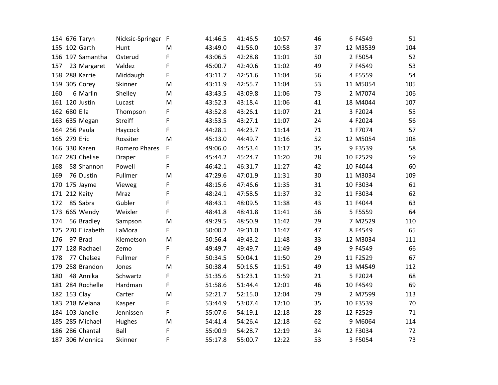|     | 154 676 Taryn     | Nicksic-Springer F |   | 41:46.5 | 41:46.5 | 10:57 | 46 | 6 F4549  | 51  |
|-----|-------------------|--------------------|---|---------|---------|-------|----|----------|-----|
|     | 155 102 Garth     | Hunt               | M | 43:49.0 | 41:56.0 | 10:58 | 37 | 12 M3539 | 104 |
|     | 156 197 Samantha  | Osterud            | F | 43:06.5 | 42:28.8 | 11:01 | 50 | 2 F5054  | 52  |
| 157 | 23 Margaret       | Valdez             | F | 45:00.7 | 42:40.6 | 11:02 | 49 | 7 F4549  | 53  |
|     | 158 288 Karrie    | Middaugh           | F | 43:11.7 | 42:51.6 | 11:04 | 56 | 4 F5559  | 54  |
|     | 159 305 Corey     | Skinner            | M | 43:11.9 | 42:55.7 | 11:04 | 53 | 11 M5054 | 105 |
| 160 | 6 Marlin          | Shelley            | M | 43:43.5 | 43:09.8 | 11:06 | 73 | 2 M7074  | 106 |
|     | 161 120 Justin    | Lucast             | M | 43:52.3 | 43:18.4 | 11:06 | 41 | 18 M4044 | 107 |
|     | 162 680 Ella      | Thompson           | F | 43:52.8 | 43:26.1 | 11:07 | 21 | 3 F2024  | 55  |
|     | 163 635 Megan     | Streiff            | F | 43:53.5 | 43:27.1 | 11:07 | 24 | 4 F2024  | 56  |
|     | 164 256 Paula     | Haycock            | F | 44:28.1 | 44:23.7 | 11:14 | 71 | 1 F7074  | 57  |
|     | 165 279 Eric      | Rossiter           | M | 45:13.0 | 44:49.7 | 11:16 | 52 | 12 M5054 | 108 |
|     | 166 330 Karen     | Romero Phares      | F | 49:06.0 | 44:53.4 | 11:17 | 35 | 9 F3539  | 58  |
|     | 167 283 Chelise   | Draper             | F | 45:44.2 | 45:24.7 | 11:20 | 28 | 10 F2529 | 59  |
| 168 | 58 Shannon        | Powell             | F | 46:42.1 | 46:31.7 | 11:27 | 42 | 10 F4044 | 60  |
| 169 | 76 Dustin         | Fullmer            | M | 47:29.6 | 47:01.9 | 11:31 | 30 | 11 M3034 | 109 |
|     | 170 175 Jayme     | Vieweg             | F | 48:15.6 | 47:46.6 | 11:35 | 31 | 10 F3034 | 61  |
|     | 171 212 Kaity     | Mraz               | F | 48:24.1 | 47:58.5 | 11:37 | 32 | 11 F3034 | 62  |
| 172 | 85 Sabra          | Gubler             | F | 48:43.1 | 48:09.5 | 11:38 | 43 | 11 F4044 | 63  |
|     | 173 665 Wendy     | Weixler            | F | 48:41.8 | 48:41.8 | 11:41 | 56 | 5 F5559  | 64  |
| 174 | 56 Bradley        | Sampson            | M | 49:29.5 | 48:50.9 | 11:42 | 29 | 7 M2529  | 110 |
|     | 175 270 Elizabeth | LaMora             | F | 50:00.2 | 49:31.0 | 11:47 | 47 | 8 F4549  | 65  |
| 176 | 97 Brad           | Klemetson          | M | 50:56.4 | 49:43.2 | 11:48 | 33 | 12 M3034 | 111 |
|     | 177 128 Rachael   | Zemo               | F | 49:49.7 | 49:49.7 | 11:49 | 49 | 9 F4549  | 66  |
| 178 | 77 Chelsea        | Fullmer            | F | 50:34.5 | 50:04.1 | 11:50 | 29 | 11 F2529 | 67  |
|     | 179 258 Brandon   | Jones              | M | 50:38.4 | 50:16.5 | 11:51 | 49 | 13 M4549 | 112 |
| 180 | 48 Annika         | Schwartz           | F | 51:35.6 | 51:23.1 | 11:59 | 21 | 5 F2024  | 68  |
|     | 181 284 Rochelle  | Hardman            | F | 51:58.6 | 51:44.4 | 12:01 | 46 | 10 F4549 | 69  |
|     | 182 153 Clay      | Carter             | M | 52:21.7 | 52:15.0 | 12:04 | 79 | 2 M7599  | 113 |
|     | 183 218 Melana    | Kasper             | F | 53:44.9 | 53:07.4 | 12:10 | 35 | 10 F3539 | 70  |
|     | 184 103 Janelle   | Jennissen          | F | 55:07.6 | 54:19.1 | 12:18 | 28 | 12 F2529 | 71  |
|     | 185 285 Michael   | Hughes             | M | 54:41.4 | 54:26.4 | 12:18 | 62 | 9 M6064  | 114 |
|     | 186 286 Chantal   | Ball               | F | 55:00.9 | 54:28.7 | 12:19 | 34 | 12 F3034 | 72  |
|     | 187 306 Monnica   | Skinner            | F | 55:17.8 | 55:00.7 | 12:22 | 53 | 3 F5054  | 73  |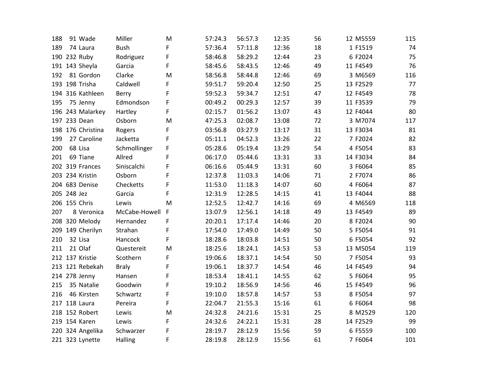| 188 | 91 Wade         |                   | Miller        | M            | 57:24.3 | 56:57.3 | 12:35 | 56 | 12 M5559 | 115 |
|-----|-----------------|-------------------|---------------|--------------|---------|---------|-------|----|----------|-----|
| 189 | 74 Laura        |                   | <b>Bush</b>   | F            | 57:36.4 | 57:11.8 | 12:36 | 18 | 1 F1519  | 74  |
|     | 190 232 Ruby    |                   | Rodriguez     | F            | 58:46.8 | 58:29.2 | 12:44 | 23 | 6 F2024  | 75  |
|     | 191 143 Sheyla  |                   | Garcia        | F            | 58:45.6 | 58:43.5 | 12:46 | 49 | 11 F4549 | 76  |
| 192 |                 | 81 Gordon         | Clarke        | M            | 58:56.8 | 58:44.8 | 12:46 | 69 | 3 M6569  | 116 |
|     | 193 198 Trisha  |                   | Caldwell      | F            | 59:51.7 | 59:20.4 | 12:50 | 25 | 13 F2529 | 77  |
|     |                 | 194 316 Kathleen  | Berry         | F            | 59:52.3 | 59:34.7 | 12:51 | 47 | 12 F4549 | 78  |
| 195 | 75 Jenny        |                   | Edmondson     | F            | 00:49.2 | 00:29.3 | 12:57 | 39 | 11 F3539 | 79  |
|     |                 | 196 243 Malarkey  | Hartley       | F            | 02:15.7 | 01:56.2 | 13:07 | 43 | 12 F4044 | 80  |
|     | 197 233 Dean    |                   | Osborn        | M            | 47:25.3 | 02:08.7 | 13:08 | 72 | 3 M7074  | 117 |
|     |                 | 198 176 Christina | Rogers        | F            | 03:56.8 | 03:27.9 | 13:17 | 31 | 13 F3034 | 81  |
| 199 |                 | 27 Caroline       | Jacketta      | F            | 05:11.1 | 04:52.3 | 13:26 | 22 | 7 F2024  | 82  |
| 200 | 68 Lisa         |                   | Schmollinger  | F            | 05:28.6 | 05:19.4 | 13:29 | 54 | 4 F5054  | 83  |
| 201 | 69 Tiane        |                   | Allred        | F            | 06:17.0 | 05:44.6 | 13:31 | 33 | 14 F3034 | 84  |
|     | 202 319 Frances |                   | Siniscalchi   | F            | 06:16.6 | 05:44.9 | 13:31 | 60 | 3 F6064  | 85  |
|     | 203 234 Kristin |                   | Osborn        | F            | 12:37.8 | 11:03.3 | 14:06 | 71 | 2 F7074  | 86  |
|     | 204 683 Denise  |                   | Checketts     | F            | 11:53.0 | 11:18.3 | 14:07 | 60 | 4 F6064  | 87  |
|     | 205 248 Jez     |                   | Garcia        | F            | 12:31.9 | 12:28.5 | 14:15 | 41 | 13 F4044 | 88  |
|     | 206 155 Chris   |                   | Lewis         | M            | 12:52.5 | 12:42.7 | 14:16 | 69 | 4 M6569  | 118 |
| 207 |                 | 8 Veronica        | McCabe-Howell | $\mathsf{F}$ | 13:07.9 | 12:56.1 | 14:18 | 49 | 13 F4549 | 89  |
|     | 208 320 Melody  |                   | Hernandez     | F            | 20:20.1 | 17:17.4 | 14:46 | 20 | 8 F2024  | 90  |
|     |                 | 209 149 Cherilyn  | Strahan       | F            | 17:54.0 | 17:49.0 | 14:49 | 50 | 5 F5054  | 91  |
| 210 | 32 Lisa         |                   | Hancock       | F            | 18:28.6 | 18:03.8 | 14:51 | 50 | 6 F5054  | 92  |
| 211 | 21 Olaf         |                   | Questereit    | M            | 18:25.6 | 18:24.1 | 14:53 | 53 | 13 M5054 | 119 |
|     | 212 137 Kristie |                   | Scothern      | F            | 19:06.6 | 18:37.1 | 14:54 | 50 | 7 F5054  | 93  |
|     |                 | 213 121 Rebekah   | <b>Braly</b>  | F            | 19:06.1 | 18:37.7 | 14:54 | 46 | 14 F4549 | 94  |
|     | 214 278 Jenny   |                   | Hansen        | F            | 18:53.4 | 18:41.1 | 14:55 | 62 | 5 F6064  | 95  |
| 215 |                 | 35 Natalie        | Goodwin       | F            | 19:10.2 | 18:56.9 | 14:56 | 46 | 15 F4549 | 96  |
| 216 |                 | 46 Kirsten        | Schwartz      | F            | 19:10.0 | 18:57.8 | 14:57 | 53 | 8 F5054  | 97  |
|     | 217 118 Laura   |                   | Pereira       | F            | 22:04.7 | 21:55.3 | 15:16 | 61 | 6 F6064  | 98  |
|     | 218 152 Robert  |                   | Lewis         | M            | 24:32.8 | 24:21.6 | 15:31 | 25 | 8 M2529  | 120 |
|     | 219 154 Karen   |                   | Lewis         | F            | 24:32.6 | 24:22.1 | 15:31 | 28 | 14 F2529 | 99  |
|     |                 | 220 324 Angelika  | Schwarzer     | F            | 28:19.7 | 28:12.9 | 15:56 | 59 | 6 F5559  | 100 |
|     | 221 323 Lynette |                   | Halling       | F            | 28:19.8 | 28:12.9 | 15:56 | 61 | 7 F6064  | 101 |